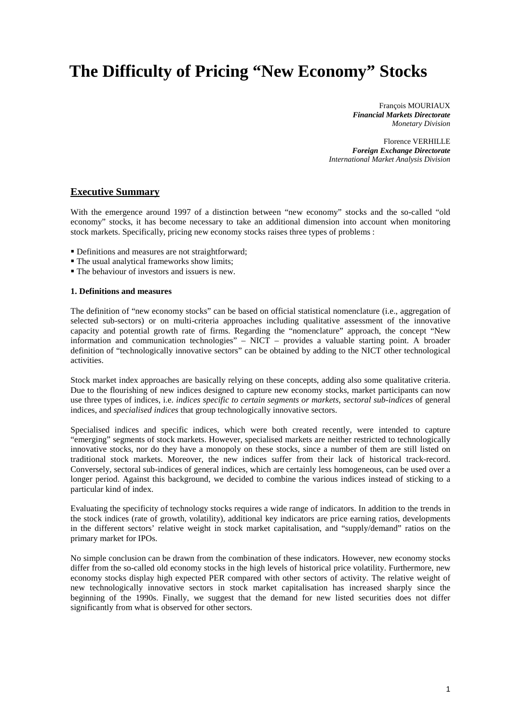# **The Difficulty of Pricing "New Economy" Stocks**

François MOURIAUX *Financial Markets Directorate Monetary Division*

Florence VERHILLE *Foreign Exchange Directorate International Market Analysis Division*

#### **Executive Summary**

With the emergence around 1997 of a distinction between "new economy" stocks and the so-called "old economy" stocks, it has become necessary to take an additional dimension into account when monitoring stock markets. Specifically, pricing new economy stocks raises three types of problems :

- Definitions and measures are not straightforward;
- The usual analytical frameworks show limits;
- The behaviour of investors and issuers is new.

#### **1. Definitions and measures**

The definition of "new economy stocks" can be based on official statistical nomenclature (i.e., aggregation of selected sub-sectors) or on multi-criteria approaches including qualitative assessment of the innovative capacity and potential growth rate of firms. Regarding the "nomenclature" approach, the concept "New information and communication technologies" – NICT – provides a valuable starting point. A broader definition of "technologically innovative sectors" can be obtained by adding to the NICT other technological activities.

Stock market index approaches are basically relying on these concepts, adding also some qualitative criteria. Due to the flourishing of new indices designed to capture new economy stocks, market participants can now use three types of indices, i.e. *indices specific to certain segments or markets*, *sectoral sub-indices* of general indices, and *specialised indices* that group technologically innovative sectors.

Specialised indices and specific indices, which were both created recently, were intended to capture "emerging" segments of stock markets. However, specialised markets are neither restricted to technologically innovative stocks, nor do they have a monopoly on these stocks, since a number of them are still listed on traditional stock markets. Moreover, the new indices suffer from their lack of historical track-record. Conversely, sectoral sub-indices of general indices, which are certainly less homogeneous, can be used over a longer period. Against this background, we decided to combine the various indices instead of sticking to a particular kind of index.

Evaluating the specificity of technology stocks requires a wide range of indicators. In addition to the trends in the stock indices (rate of growth, volatility), additional key indicators are price earning ratios, developments in the different sectors' relative weight in stock market capitalisation, and "supply/demand" ratios on the primary market for IPOs.

No simple conclusion can be drawn from the combination of these indicators. However, new economy stocks differ from the so-called old economy stocks in the high levels of historical price volatility. Furthermore, new economy stocks display high expected PER compared with other sectors of activity. The relative weight of new technologically innovative sectors in stock market capitalisation has increased sharply since the beginning of the 1990s. Finally, we suggest that the demand for new listed securities does not differ significantly from what is observed for other sectors.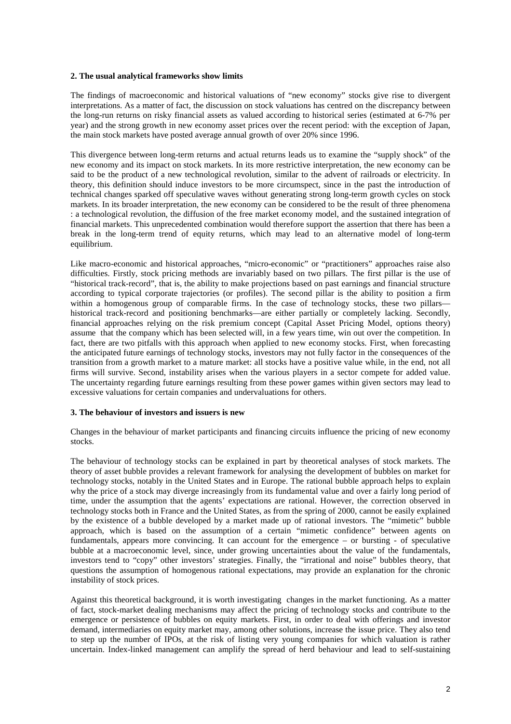#### **2. The usual analytical frameworks show limits**

The findings of macroeconomic and historical valuations of "new economy" stocks give rise to divergent interpretations. As a matter of fact, the discussion on stock valuations has centred on the discrepancy between the long-run returns on risky financial assets as valued according to historical series (estimated at 6-7% per year) and the strong growth in new economy asset prices over the recent period: with the exception of Japan, the main stock markets have posted average annual growth of over 20% since 1996.

This divergence between long-term returns and actual returns leads us to examine the "supply shock" of the new economy and its impact on stock markets. In its more restrictive interpretation, the new economy can be said to be the product of a new technological revolution, similar to the advent of railroads or electricity. In theory, this definition should induce investors to be more circumspect, since in the past the introduction of technical changes sparked off speculative waves without generating strong long-term growth cycles on stock markets. In its broader interpretation, the new economy can be considered to be the result of three phenomena : a technological revolution, the diffusion of the free market economy model, and the sustained integration of financial markets. This unprecedented combination would therefore support the assertion that there has been a break in the long-term trend of equity returns, which may lead to an alternative model of long-term equilibrium.

Like macro-economic and historical approaches, "micro-economic" or "practitioners" approaches raise also difficulties. Firstly, stock pricing methods are invariably based on two pillars. The first pillar is the use of "historical track-record", that is, the ability to make projections based on past earnings and financial structure according to typical corporate trajectories (or profiles). The second pillar is the ability to position a firm within a homogenous group of comparable firms. In the case of technology stocks, these two pillars historical track-record and positioning benchmarks—are either partially or completely lacking. Secondly, financial approaches relying on the risk premium concept (Capital Asset Pricing Model, options theory) assume that the company which has been selected will, in a few years time, win out over the competition. In fact, there are two pitfalls with this approach when applied to new economy stocks. First, when forecasting the anticipated future earnings of technology stocks, investors may not fully factor in the consequences of the transition from a growth market to a mature market: all stocks have a positive value while, in the end, not all firms will survive. Second, instability arises when the various players in a sector compete for added value. The uncertainty regarding future earnings resulting from these power games within given sectors may lead to excessive valuations for certain companies and undervaluations for others.

#### **3. The behaviour of investors and issuers is new**

Changes in the behaviour of market participants and financing circuits influence the pricing of new economy stocks.

The behaviour of technology stocks can be explained in part by theoretical analyses of stock markets. The theory of asset bubble provides a relevant framework for analysing the development of bubbles on market for technology stocks, notably in the United States and in Europe. The rational bubble approach helps to explain why the price of a stock may diverge increasingly from its fundamental value and over a fairly long period of time, under the assumption that the agents' expectations are rational. However, the correction observed in technology stocks both in France and the United States, as from the spring of 2000, cannot be easily explained by the existence of a bubble developed by a market made up of rational investors. The "mimetic" bubble approach, which is based on the assumption of a certain "mimetic confidence" between agents on fundamentals, appears more convincing. It can account for the emergence – or bursting - of speculative bubble at a macroeconomic level, since, under growing uncertainties about the value of the fundamentals, investors tend to "copy" other investors' strategies. Finally, the "irrational and noise" bubbles theory, that questions the assumption of homogenous rational expectations, may provide an explanation for the chronic instability of stock prices.

Against this theoretical background, it is worth investigating changes in the market functioning. As a matter of fact, stock-market dealing mechanisms may affect the pricing of technology stocks and contribute to the emergence or persistence of bubbles on equity markets. First, in order to deal with offerings and investor demand, intermediaries on equity market may, among other solutions, increase the issue price. They also tend to step up the number of IPOs, at the risk of listing very young companies for which valuation is rather uncertain. Index-linked management can amplify the spread of herd behaviour and lead to self-sustaining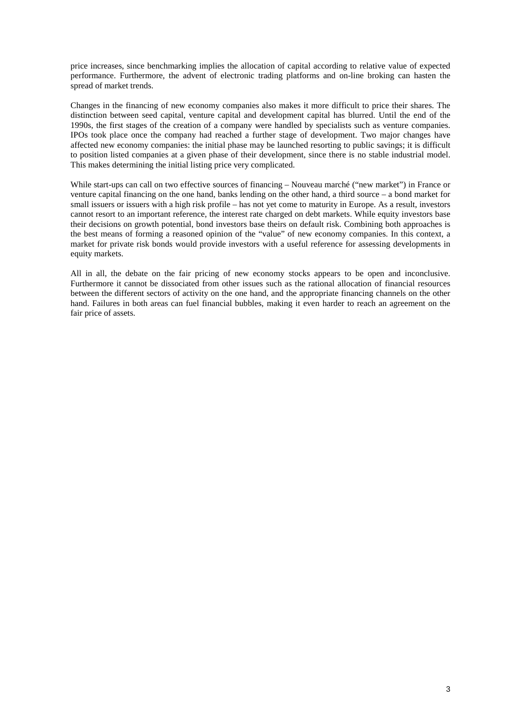price increases, since benchmarking implies the allocation of capital according to relative value of expected performance. Furthermore, the advent of electronic trading platforms and on-line broking can hasten the spread of market trends.

Changes in the financing of new economy companies also makes it more difficult to price their shares. The distinction between seed capital, venture capital and development capital has blurred. Until the end of the 1990s, the first stages of the creation of a company were handled by specialists such as venture companies. IPOs took place once the company had reached a further stage of development. Two major changes have affected new economy companies: the initial phase may be launched resorting to public savings; it is difficult to position listed companies at a given phase of their development, since there is no stable industrial model. This makes determining the initial listing price very complicated.

While start-ups can call on two effective sources of financing – Nouveau marché ("new market") in France or venture capital financing on the one hand, banks lending on the other hand, a third source – a bond market for small issuers or issuers with a high risk profile – has not yet come to maturity in Europe. As a result, investors cannot resort to an important reference, the interest rate charged on debt markets. While equity investors base their decisions on growth potential, bond investors base theirs on default risk. Combining both approaches is the best means of forming a reasoned opinion of the "value" of new economy companies. In this context, a market for private risk bonds would provide investors with a useful reference for assessing developments in equity markets.

All in all, the debate on the fair pricing of new economy stocks appears to be open and inconclusive. Furthermore it cannot be dissociated from other issues such as the rational allocation of financial resources between the different sectors of activity on the one hand, and the appropriate financing channels on the other hand. Failures in both areas can fuel financial bubbles, making it even harder to reach an agreement on the fair price of assets.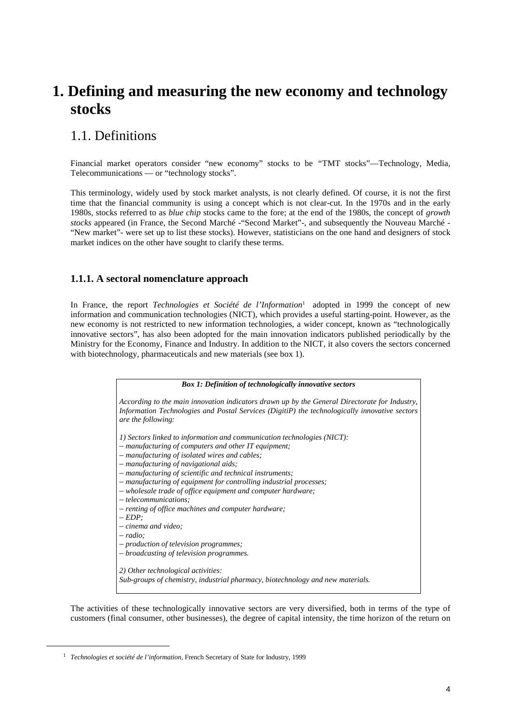# **1. Defining and measuring the new economy and technology stocks**

## 1.1. Definitions

Financial market operators consider "new economy" stocks to be *"*TMT stocks"—Technology, Media, Telecommunications — or "technology stocks".

This terminology, widely used by stock market analysts, is not clearly defined. Of course, it is not the first time that the financial community is using a concept which is not clear-cut. In the 1970s and in the early 1980s, stocks referred to as *blue chip* stocks came to the fore; at the end of the 1980s, the concept of *growth stocks* appeared (in France, the Second Marché -"Second Market"-, and subsequently the Nouveau Marché - "New market"- were set up to list these stocks). However, statisticians on the one hand and designers of stock market indices on the other have sought to clarify these terms.

### **1.1.1. A sectoral nomenclature approach**

In France, the report *Technologies et Société de l'Information*1 adopted in 1999 the concept of new information and communication technologies (NICT), which provides a useful starting-point. However, as the new economy is not restricted to new information technologies, a wider concept, known as "technologically innovative sectors", has also been adopted for the main innovation indicators published periodically by the Ministry for the Economy, Finance and Industry. In addition to the NICT, it also covers the sectors concerned with biotechnology, pharmaceuticals and new materials (see box 1).

| <b>Box 1: Definition of technologically innovative sectors</b>                                                                                                                                                       |  |  |  |  |
|----------------------------------------------------------------------------------------------------------------------------------------------------------------------------------------------------------------------|--|--|--|--|
| According to the main innovation indicators drawn up by the General Directorate for Industry,<br>Information Technologies and Postal Services (DigitiP) the technologically innovative sectors<br>are the following: |  |  |  |  |
| 1) Sectors linked to information and communication technologies (NICT):<br>$-$ manufacturing of computers and other IT equipment;                                                                                    |  |  |  |  |
| - manufacturing of isolated wires and cables;                                                                                                                                                                        |  |  |  |  |
| - manufacturing of navigational aids;                                                                                                                                                                                |  |  |  |  |
| - manufacturing of scientific and technical instruments;                                                                                                                                                             |  |  |  |  |
| - manufacturing of equipment for controlling industrial processes;                                                                                                                                                   |  |  |  |  |
| - wholesale trade of office equipment and computer hardware;<br>$-$ telecommunications:                                                                                                                              |  |  |  |  |
| - renting of office machines and computer hardware;                                                                                                                                                                  |  |  |  |  |
| $- EDP$                                                                                                                                                                                                              |  |  |  |  |
| $-$ cinema and video;                                                                                                                                                                                                |  |  |  |  |
| $- radio:$                                                                                                                                                                                                           |  |  |  |  |
| - production of television programmes;<br>- broadcasting of television programmes.                                                                                                                                   |  |  |  |  |
|                                                                                                                                                                                                                      |  |  |  |  |
| 2) Other technological activities:                                                                                                                                                                                   |  |  |  |  |
| Sub-groups of chemistry, industrial pharmacy, biotechnology and new materials.                                                                                                                                       |  |  |  |  |

The activities of these technologically innovative sectors are very diversified, both in terms of the type of customers (final consumer, other businesses), the degree of capital intensity, the time horizon of the return on

 <sup>1</sup> *Technologies et société de l'information*, French Secretary of State for Industry, 1999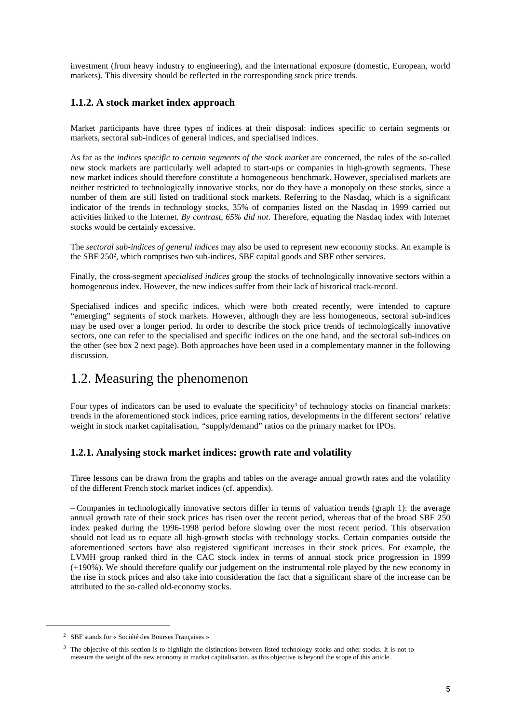investment (from heavy industry to engineering), and the international exposure (domestic, European, world markets). This diversity should be reflected in the corresponding stock price trends.

### **1.1.2. A stock market index approach**

Market participants have three types of indices at their disposal: indices specific to certain segments or markets, sectoral sub-indices of general indices, and specialised indices.

As far as the *indices specific to certain segments of the stock market* are concerned, the rules of the so-called new stock markets are particularly well adapted to start-ups or companies in high-growth segments. These new market indices should therefore constitute a homogeneous benchmark. However, specialised markets are neither restricted to technologically innovative stocks, nor do they have a monopoly on these stocks, since a number of them are still listed on traditional stock markets. Referring to the Nasdaq, which is a significant indicator of the trends in technology stocks, 35% of companies listed on the Nasdaq in 1999 carried out activities linked to the Internet. *By contrast, 65% did not*. Therefore, equating the Nasdaq index with Internet stocks would be certainly excessive.

The *sectoral sub-indices of general indices* may also be used to represent new economy stocks. An example is the SBF 2502, which comprises two sub-indices, SBF capital goods and SBF other services.

Finally, the cross-segment *specialised indices* group the stocks of technologically innovative sectors within a homogeneous index. However, the new indices suffer from their lack of historical track-record.

Specialised indices and specific indices, which were both created recently, were intended to capture "emerging" segments of stock markets. However, although they are less homogeneous, sectoral sub-indices may be used over a longer period. In order to describe the stock price trends of technologically innovative sectors, one can refer to the specialised and specific indices on the one hand, and the sectoral sub-indices on the other (see box 2 next page). Both approaches have been used in a complementary manner in the following discussion.

### 1.2. Measuring the phenomenon

Four types of indicators can be used to evaluate the specificity<sup>3</sup> of technology stocks on financial markets: trends in the aforementioned stock indices, price earning ratios*,* developments in the different sectors' relative weight in stock market capitalisation, *"*supply/demand" ratios on the primary market for IPOs.

### **1.2.1. Analysing stock market indices: growth rate and volatility**

Three lessons can be drawn from the graphs and tables on the average annual growth rates and the volatility of the different French stock market indices (cf. appendix).

– Companies in technologically innovative sectors differ in terms of valuation trends (graph 1): the average annual growth rate of their stock prices has risen over the recent period, whereas that of the broad SBF 250 index peaked during the 1996-1998 period before slowing over the most recent period. This observation should not lead us to equate all high-growth stocks with technology stocks. Certain companies outside the aforementioned sectors have also registered significant increases in their stock prices. For example, the LVMH group ranked third in the CAC stock index in terms of annual stock price progression in 1999 (+190%). We should therefore qualify our judgement on the instrumental role played by the new economy in the rise in stock prices and also take into consideration the fact that a significant share of the increase can be attributed to the so-called old-economy stocks.

 <sup>2</sup> SBF stands for « Société des Bourses Françaises »

 $3$  The objective of this section is to highlight the distinctions between listed technology stocks and other stocks. It is not to measure the weight of the new economy in market capitalisation, as this objective is beyond the scope of this article.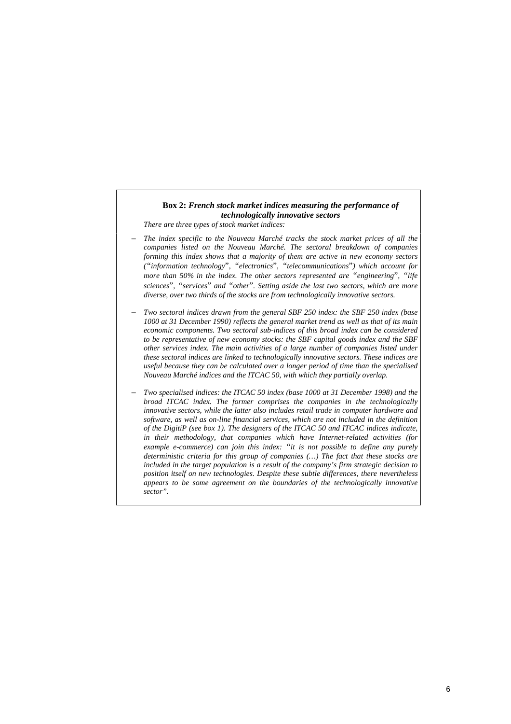#### **Box 2:** *French stock market indices measuring the performance of technologically innovative sectors*

*There are three types of stock market indices:*

- *– The index specific to the Nouveau Marché tracks the stock market prices of all the companies listed on the Nouveau Marché. The sectoral breakdown of companies forming this index shows that a majority of them are active in new economy sectors ("information technology*"*, "electronics*"*, "telecommunications*"*) which account for more than 50% in the index. The other sectors represented are "engineering*"*, "life sciences*"*, "services*" *and "other*"*. Setting aside the last two sectors, which are more diverse, over two thirds of the stocks are from technologically innovative sectors.*
- *– Two sectoral indices drawn from the general SBF 250 index: the SBF 250 index (base 1000 at 31 December 1990) reflects the general market trend as well as that of its main economic components. Two sectoral sub-indices of this broad index can be considered to be representative of new economy stocks: the SBF capital goods index and the SBF other services index. The main activities of a large number of companies listed under these sectoral indices are linked to technologically innovative sectors. These indices are useful because they can be calculated over a longer period of time than the specialised Nouveau Marché indices and the ITCAC 50, with which they partially overlap.*
- *– Two specialised indices: the ITCAC 50 index (base 1000 at 31 December 1998) and the broad ITCAC index. The former comprises the companies in the technologically innovative sectors, while the latter also includes retail trade in computer hardware and software, as well as on-line financial services, which are not included in the definition of the DigitiP (see box 1). The designers of the ITCAC 50 and ITCAC indices indicate, in their methodology, that companies which have Internet-related activities (for example e-commerce) can join this index: "it is not possible to define any purely deterministic criteria for this group of companies (…) The fact that these stocks are included in the target population is a result of the company's firm strategic decision to position itself on new technologies. Despite these subtle differences, there nevertheless appears to be some agreement on the boundaries of the technologically innovative sector".*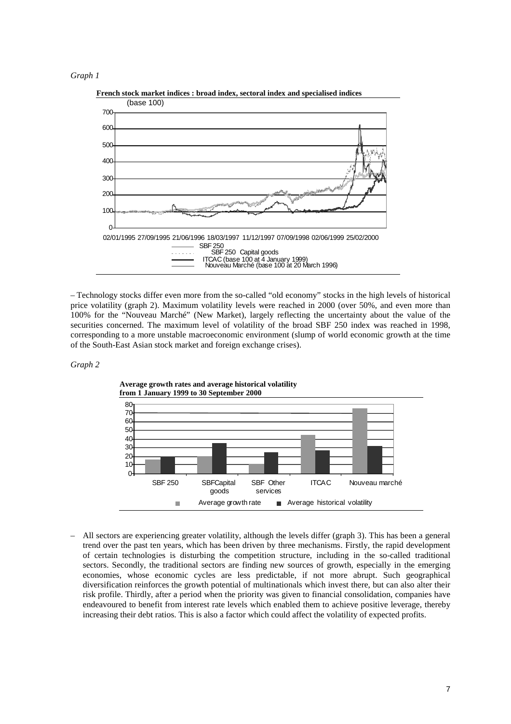



**French stock market indices : broad index, sectoral index and specialised indices**

– Technology stocks differ even more from the so-called "old economy" stocks in the high levels of historical price volatility (graph 2). Maximum volatility levels were reached in 2000 (over 50%, and even more than 100% for the "Nouveau Marché" (New Market), largely reflecting the uncertainty about the value of the securities concerned. The maximum level of volatility of the broad SBF 250 index was reached in 1998, corresponding to a more unstable macroeconomic environment (slump of world economic growth at the time of the South-East Asian stock market and foreign exchange crises).

#### *Graph 2*



**Average growth rates and average historical volatility from 1 January 1999 to 30 September 2000**

– All sectors are experiencing greater volatility, although the levels differ (graph 3). This has been a general trend over the past ten years, which has been driven by three mechanisms. Firstly, the rapid development of certain technologies is disturbing the competition structure, including in the so-called traditional sectors. Secondly, the traditional sectors are finding new sources of growth, especially in the emerging economies, whose economic cycles are less predictable, if not more abrupt. Such geographical diversification reinforces the growth potential of multinationals which invest there, but can also alter their risk profile. Thirdly, after a period when the priority was given to financial consolidation, companies have endeavoured to benefit from interest rate levels which enabled them to achieve positive leverage, thereby increasing their debt ratios. This is also a factor which could affect the volatility of expected profits.

7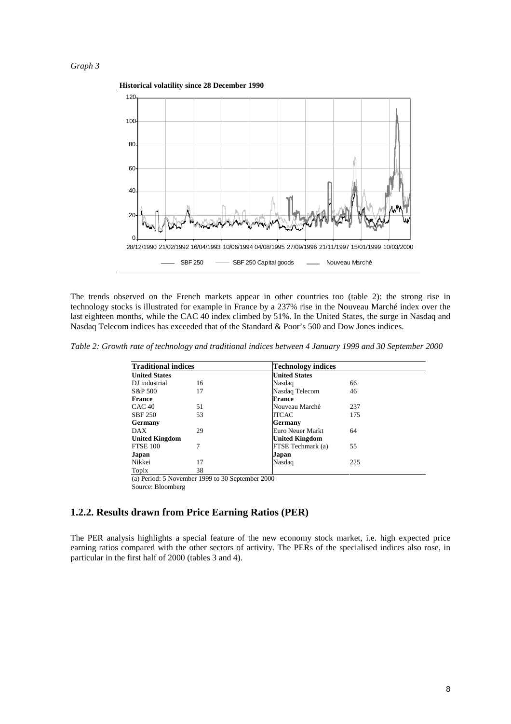

The trends observed on the French markets appear in other countries too (table 2): the strong rise in technology stocks is illustrated for example in France by a 237% rise in the Nouveau Marché index over the last eighteen months, while the CAC 40 index climbed by 51%. In the United States, the surge in Nasdaq and Nasdaq Telecom indices has exceeded that of the Standard & Poor's 500 and Dow Jones indices.

*Table 2: Growth rate of technology and traditional indices between 4 January 1999 and 30 September 2000*

| <b>Traditional indices</b> |                                                  | Technology indices    |     |
|----------------------------|--------------------------------------------------|-----------------------|-----|
| <b>United States</b>       |                                                  | <b>United States</b>  |     |
| DJ industrial              | 16                                               | Nasdaq                | 66  |
| S&P 500                    | 17                                               | Nasdaq Telecom        | 46  |
| <b>France</b>              |                                                  | France                |     |
| CAC <sub>40</sub>          | 51                                               | Nouveau Marché        | 237 |
| <b>SBF 250</b>             | 53                                               | ITCAC                 | 175 |
| Germany                    |                                                  | Germany               |     |
| <b>DAX</b>                 | 29                                               | Euro Neuer Markt      | 64  |
| <b>United Kingdom</b>      |                                                  | <b>United Kingdom</b> |     |
| <b>FTSE 100</b>            | 7                                                | FTSE Techmark (a)     | 55  |
| Japan                      |                                                  | Japan                 |     |
| Nikkei                     | 17                                               | Nasdaq                | 225 |
| Topix                      | 38                                               |                       |     |
|                            | (a) Period: 5 November 1999 to 30 September 2000 |                       |     |

Source: Bloomberg

#### **1.2.2. Results drawn from Price Earning Ratios (PER)**

The PER analysis highlights a special feature of the new economy stock market, i.e. high expected price earning ratios compared with the other sectors of activity. The PERs of the specialised indices also rose, in particular in the first half of 2000 (tables 3 and 4).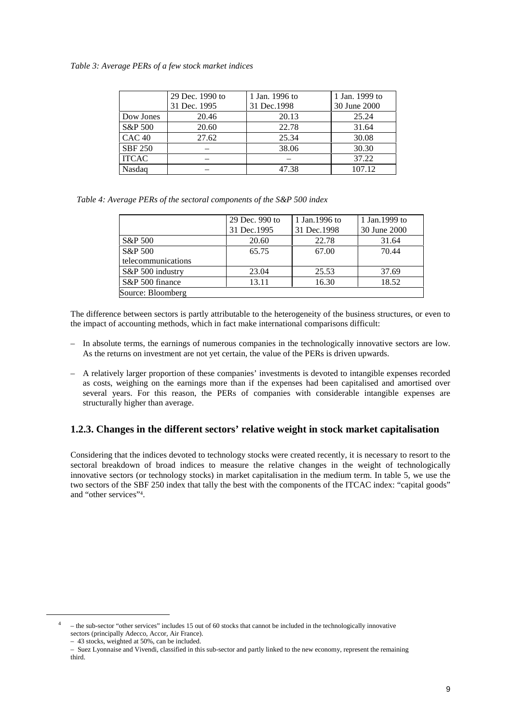#### *Table 3: Average PERs of a few stock market indices*

|                   | 29 Dec. 1990 to<br>31 Dec. 1995 | 1 Jan. 1996 to<br>31 Dec.1998 | 1 Jan. 1999 to<br>30 June 2000 |
|-------------------|---------------------------------|-------------------------------|--------------------------------|
| Dow Jones         | 20.46                           | 20.13                         | 25.24                          |
| S&P 500           | 20.60                           | 22.78                         | 31.64                          |
| CAC <sub>40</sub> | 27.62                           | 25.34                         | 30.08                          |
| <b>SBF 250</b>    |                                 | 38.06                         | 30.30                          |
| <b>ITCAC</b>      |                                 |                               | 37.22                          |
| Nasdag            |                                 | 47.38                         | 107.12                         |

*Table 4: Average PERs of the sectoral components of the S&P 500 index*

|                    | 29 Dec. 990 to<br>31 Dec. 1995 | 1 Jan. 1996 to<br>31 Dec. 1998 | 1 Jan. 1999 to<br>30 June 2000 |
|--------------------|--------------------------------|--------------------------------|--------------------------------|
| S&P 500            | 20.60                          | 22.78                          | 31.64                          |
| S&P 500            | 65.75                          | 67.00                          | 70.44                          |
| telecommunications |                                |                                |                                |
| S&P 500 industry   | 23.04                          | 25.53                          | 37.69                          |
| S&P 500 finance    | 13.11                          | 16.30                          | 18.52                          |
| Source: Bloomberg  |                                |                                |                                |

The difference between sectors is partly attributable to the heterogeneity of the business structures, or even to the impact of accounting methods, which in fact make international comparisons difficult:

- In absolute terms, the earnings of numerous companies in the technologically innovative sectors are low. As the returns on investment are not yet certain, the value of the PERs is driven upwards.
- A relatively larger proportion of these companies' investments is devoted to intangible expenses recorded as costs, weighing on the earnings more than if the expenses had been capitalised and amortised over several years. For this reason, the PERs of companies with considerable intangible expenses are structurally higher than average.

### **1.2.3. Changes in the different sectors' relative weight in stock market capitalisation**

Considering that the indices devoted to technology stocks were created recently, it is necessary to resort to the sectoral breakdown of broad indices to measure the relative changes in the weight of technologically innovative sectors (or technology stocks) in market capitalisation in the medium term. In table 5, we use the two sectors of the SBF 250 index that tally the best with the components of the ITCAC index: "capital goods" and "other services"4.

<sup>&</sup>lt;sup>4</sup> – the sub-sector "other services" includes 15 out of 60 stocks that cannot be included in the technologically innovative sectors (principally Adecco, Accor, Air France).

<sup>– 43</sup> stocks, weighted at 50%, can be included.

<sup>–</sup> Suez Lyonnaise and Vivendi, classified in this sub-sector and partly linked to the new economy, represent the remaining third.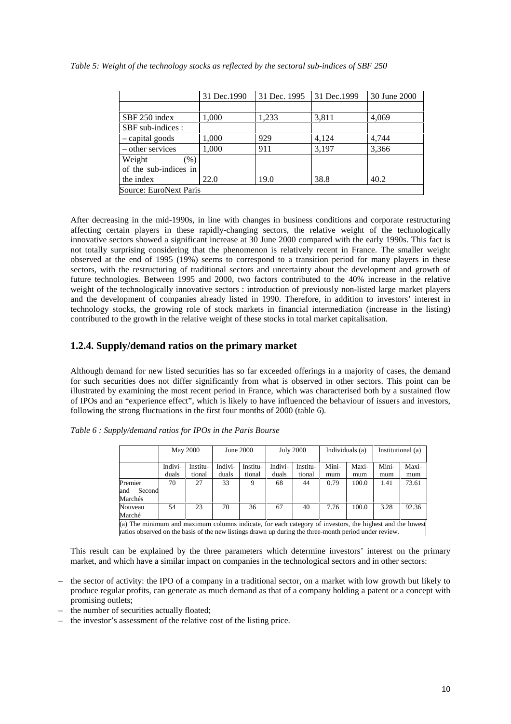|                             | 31 Dec.1990 | 31 Dec. 1995 | 31 Dec. 1999 | 30 June 2000 |
|-----------------------------|-------------|--------------|--------------|--------------|
|                             |             |              |              |              |
| SBF 250 index               | 1,000       | 1,233        | 3,811        | 4,069        |
| SBF sub-indices :           |             |              |              |              |
| - capital goods             | 1,000       | 929          | 4,124        | 4,744        |
| - other services            | 1.000       | 911          | 3,197        | 3,366        |
| Weight<br>$\mathcal{O}_0$ ) |             |              |              |              |
| of the sub-indices in       |             |              |              |              |
| the index                   | 22.0        | 19.0         | 38.8         | 40.2         |
| Source: EuroNext Paris      |             |              |              |              |

*Table 5: Weight of the technology stocks as reflected by the sectoral sub-indices of SBF 250*

After decreasing in the mid-1990s, in line with changes in business conditions and corporate restructuring affecting certain players in these rapidly-changing sectors, the relative weight of the technologically innovative sectors showed a significant increase at 30 June 2000 compared with the early 1990s. This fact is not totally surprising considering that the phenomenon is relatively recent in France. The smaller weight observed at the end of 1995 (19%) seems to correspond to a transition period for many players in these sectors, with the restructuring of traditional sectors and uncertainty about the development and growth of future technologies. Between 1995 and 2000, two factors contributed to the 40% increase in the relative weight of the technologically innovative sectors : introduction of previously non-listed large market players and the development of companies already listed in 1990. Therefore, in addition to investors' interest in technology stocks, the growing role of stock markets in financial intermediation (increase in the listing) contributed to the growth in the relative weight of these stocks in total market capitalisation.

### **1.2.4. Supply/demand ratios on the primary market**

Although demand for new listed securities has so far exceeded offerings in a majority of cases, the demand for such securities does not differ significantly from what is observed in other sectors. This point can be illustrated by examining the most recent period in France, which was characterised both by a sustained flow of IPOs and an "experience effect", which is likely to have influenced the behaviour of issuers and investors, following the strong fluctuations in the first four months of 2000 (table 6).

|                                                                                                          |         | <b>May 2000</b> |         | June 2000 |         | <b>July 2000</b> |       | Individuals (a) |       | Institutional (a) |
|----------------------------------------------------------------------------------------------------------|---------|-----------------|---------|-----------|---------|------------------|-------|-----------------|-------|-------------------|
|                                                                                                          | Indivi- | Institu-        | Indivi- | Institu-  | Indivi- | Institu-         | Mini- | Maxi-           | Mini- | Maxi-             |
|                                                                                                          | duals   | tional          | duals   | tional    | duals   | tional           | mum   | mum             | mum   | mum               |
| Premier                                                                                                  | 70      | 27              | 33      |           | 68      | 44               | 0.79  | 100.0           | 1.41  | 73.61             |
| Second<br>and                                                                                            |         |                 |         |           |         |                  |       |                 |       |                   |
| Marchés                                                                                                  |         |                 |         |           |         |                  |       |                 |       |                   |
| Nouveau                                                                                                  | 54      | 23              | 70      | 36        | 67      | 40               | 7.76  | 100.0           | 3.28  | 92.36             |
| Marché                                                                                                   |         |                 |         |           |         |                  |       |                 |       |                   |
| (a) The minimum and maximum columns indicate, for each category of investors, the highest and the lowest |         |                 |         |           |         |                  |       |                 |       |                   |
| ratios observed on the basis of the new listings drawn up during the three-month period under review.    |         |                 |         |           |         |                  |       |                 |       |                   |

*Table 6 : Supply/demand ratios for IPOs in the Paris Bourse*

This result can be explained by the three parameters which determine investors' interest on the primary market, and which have a similar impact on companies in the technological sectors and in other sectors:

- the sector of activity: the IPO of a company in a traditional sector, on a market with low growth but likely to produce regular profits, can generate as much demand as that of a company holding a patent or a concept with promising outlets;
- the number of securities actually floated;
- the investor's assessment of the relative cost of the listing price.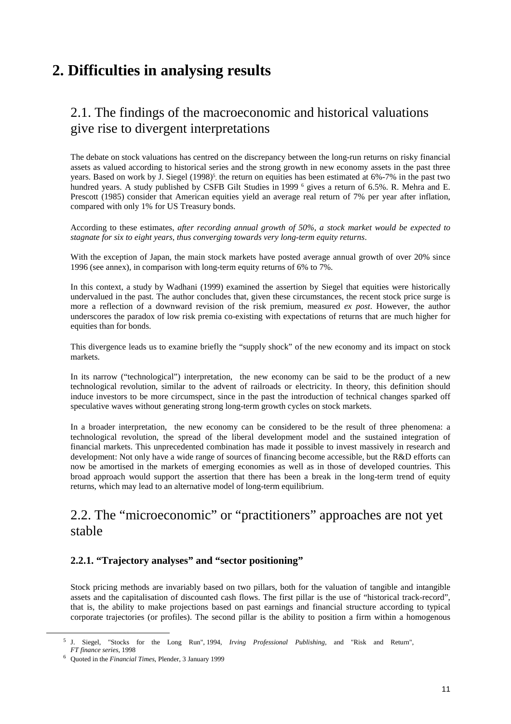# **2. Difficulties in analysing results**

## 2.1. The findings of the macroeconomic and historical valuations give rise to divergent interpretations

The debate on stock valuations has centred on the discrepancy between the long-run returns on risky financial assets as valued according to historical series and the strong growth in new economy assets in the past three years. Based on work by J. Siegel (1998)<sup>5</sup>, the return on equities has been estimated at 6%-7% in the past two hundred years. A study published by CSFB Gilt Studies in 1999 <sup>6</sup> gives a return of 6.5%. R. Mehra and E. Prescott (1985) consider that American equities yield an average real return of 7% per year after inflation, compared with only 1% for US Treasury bonds.

According to these estimates, *after recording annual growth of 50%, a stock market would be expected to stagnate for six to eight years, thus converging towards very long-term equity returns*.

With the exception of Japan, the main stock markets have posted average annual growth of over 20% since 1996 (see annex), in comparison with long-term equity returns of 6% to 7%.

In this context, a study by Wadhani (1999) examined the assertion by Siegel that equities were historically undervalued in the past. The author concludes that, given these circumstances, the recent stock price surge is more a reflection of a downward revision of the risk premium, measured *ex post*. However, the author underscores the paradox of low risk premia co-existing with expectations of returns that are much higher for equities than for bonds.

This divergence leads us to examine briefly the "supply shock" of the new economy and its impact on stock markets.

In its narrow ("technological") interpretation, the new economy can be said to be the product of a new technological revolution, similar to the advent of railroads or electricity. In theory, this definition should induce investors to be more circumspect, since in the past the introduction of technical changes sparked off speculative waves without generating strong long-term growth cycles on stock markets.

In a broader interpretation, the new economy can be considered to be the result of three phenomena: a technological revolution, the spread of the liberal development model and the sustained integration of financial markets. This unprecedented combination has made it possible to invest massively in research and development: Not only have a wide range of sources of financing become accessible, but the R&D efforts can now be amortised in the markets of emerging economies as well as in those of developed countries. This broad approach would support the assertion that there has been a break in the long-term trend of equity returns, which may lead to an alternative model of long-term equilibrium.

## 2.2. The "microeconomic" or "practitioners" approaches are not yet stable

### **2.2.1. "Trajectory analyses" and "sector positioning"**

Stock pricing methods are invariably based on two pillars, both for the valuation of tangible and intangible assets and the capitalisation of discounted cash flows. The first pillar is the use of "historical track-record", that is, the ability to make projections based on past earnings and financial structure according to typical corporate trajectories (or profiles). The second pillar is the ability to position a firm within a homogenous

 <sup>5</sup> J. Siegel, "Stocks for the Long Run", 1994, *Irving Professional Publishing*, and "Risk and Return", *FT finance series*, 1998

<sup>6</sup> Quoted in the *Financial Times*, Plender, 3 January 1999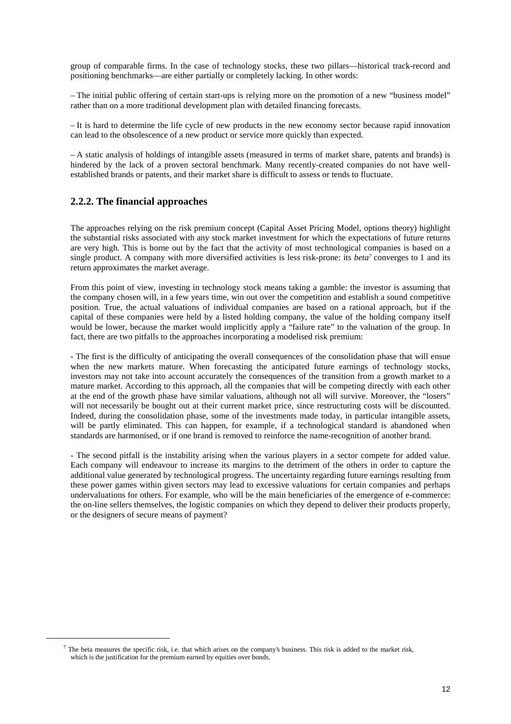group of comparable firms. In the case of technology stocks, these two pillars—historical track-record and positioning benchmarks—are either partially or completely lacking. In other words:

– The initial public offering of certain start-ups is relying more on the promotion of a new "business model" rather than on a more traditional development plan with detailed financing forecasts.

– It is hard to determine the life cycle of new products in the new economy sector because rapid innovation can lead to the obsolescence of a new product or service more quickly than expected.

– A static analysis of holdings of intangible assets (measured in terms of market share, patents and brands) is hindered by the lack of a proven sectoral benchmark. Many recently-created companies do not have wellestablished brands or patents, and their market share is difficult to assess or tends to fluctuate.

### **2.2.2. The financial approaches**

The approaches relying on the risk premium concept (Capital Asset Pricing Model, options theory) highlight the substantial risks associated with any stock market investment for which the expectations of future returns are very high. This is borne out by the fact that the activity of most technological companies is based on a single product. A company with more diversified activities is less risk-prone: its *beta7* converges to 1 and its return approximates the market average.

From this point of view, investing in technology stock means taking a gamble: the investor is assuming that the company chosen will, in a few years time, win out over the competition and establish a sound competitive position. True, the actual valuations of individual companies are based on a rational approach, but if the capital of these companies were held by a listed holding company, the value of the holding company itself would be lower, because the market would implicitly apply a "failure rate" to the valuation of the group. In fact, there are two pitfalls to the approaches incorporating a modelised risk premium:

- The first is the difficulty of anticipating the overall consequences of the consolidation phase that will ensue when the new markets mature. When forecasting the anticipated future earnings of technology stocks, investors may not take into account accurately the consequences of the transition from a growth market to a mature market. According to this approach, all the companies that will be competing directly with each other at the end of the growth phase have similar valuations, although not all will survive. Moreover, the "losers" will not necessarily be bought out at their current market price, since restructuring costs will be discounted. Indeed, during the consolidation phase, some of the investments made today, in particular intangible assets, will be partly eliminated. This can happen, for example, if a technological standard is abandoned when standards are harmonised, or if one brand is removed to reinforce the name-recognition of another brand.

- The second pitfall is the instability arising when the various players in a sector compete for added value. Each company will endeavour to increase its margins to the detriment of the others in order to capture the additional value generated by technological progress. The uncertainty regarding future earnings resulting from these power games within given sectors may lead to excessive valuations for certain companies and perhaps undervaluations for others. For example, who will be the main beneficiaries of the emergence of e-commerce: the on-line sellers themselves, the logistic companies on which they depend to deliver their products properly, or the designers of secure means of payment?

<sup>&</sup>lt;sup>7</sup> The beta measures the specific risk, i.e. that which arises on the company's business. This risk is added to the market risk, which is the justification for the premium earned by equities over bonds.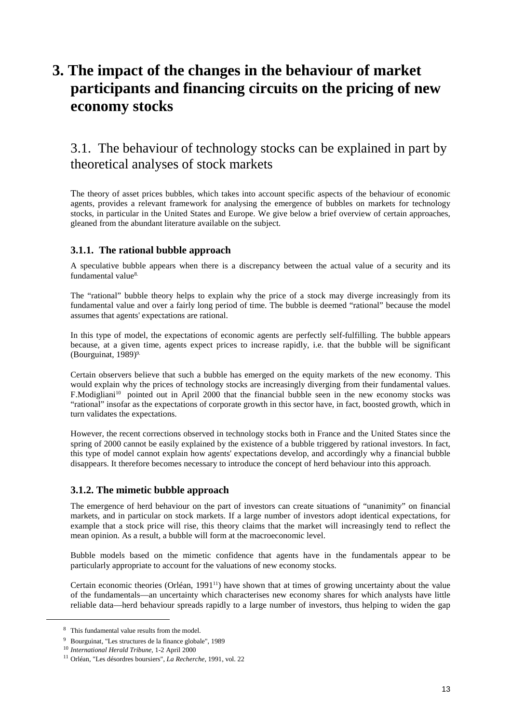# **3. The impact of the changes in the behaviour of market participants and financing circuits on the pricing of new economy stocks**

## 3.1. The behaviour of technology stocks can be explained in part by theoretical analyses of stock markets

The theory of asset prices bubbles, which takes into account specific aspects of the behaviour of economic agents, provides a relevant framework for analysing the emergence of bubbles on markets for technology stocks, in particular in the United States and Europe. We give below a brief overview of certain approaches, gleaned from the abundant literature available on the subject.

### **3.1.1. The rational bubble approach**

A speculative bubble appears when there is a discrepancy between the actual value of a security and its fundamental value<sup>8.</sup>

The "rational" bubble theory helps to explain why the price of a stock may diverge increasingly from its fundamental value and over a fairly long period of time. The bubble is deemed "rational" because the model assumes that agents' expectations are rational.

In this type of model, the expectations of economic agents are perfectly self-fulfilling. The bubble appears because, at a given time, agents expect prices to increase rapidly, i.e. that the bubble will be significant (Bourguinat,  $1989$ )<sup>9.</sup>

Certain observers believe that such a bubble has emerged on the equity markets of the new economy. This would explain why the prices of technology stocks are increasingly diverging from their fundamental values. F.Modigliani<sup>10</sup> pointed out in April 2000 that the financial bubble seen in the new economy stocks was "rational" insofar as the expectations of corporate growth in this sector have, in fact, boosted growth, which in turn validates the expectations.

However, the recent corrections observed in technology stocks both in France and the United States since the spring of 2000 cannot be easily explained by the existence of a bubble triggered by rational investors. In fact, this type of model cannot explain how agents' expectations develop, and accordingly why a financial bubble disappears. It therefore becomes necessary to introduce the concept of herd behaviour into this approach.

### **3.1.2. The mimetic bubble approach**

The emergence of herd behaviour on the part of investors can create situations of "unanimity" on financial markets, and in particular on stock markets. If a large number of investors adopt identical expectations, for example that a stock price will rise, this theory claims that the market will increasingly tend to reflect the mean opinion. As a result, a bubble will form at the macroeconomic level.

Bubble models based on the mimetic confidence that agents have in the fundamentals appear to be particularly appropriate to account for the valuations of new economy stocks.

Certain economic theories (Orléan, 199111) have shown that at times of growing uncertainty about the value of the fundamentals—an uncertainty which characterises new economy shares for which analysts have little reliable data—herd behaviour spreads rapidly to a large number of investors, thus helping to widen the gap

 <sup>8</sup> This fundamental value results from the model.

<sup>9</sup> Bourguinat, "Les structures de la finance globale", 1989

<sup>10</sup> *International Herald Tribune*, 1-2 April 2000

<sup>11</sup> Orléan, "Les désordres boursiers", *La Recherche*, 1991, vol. 22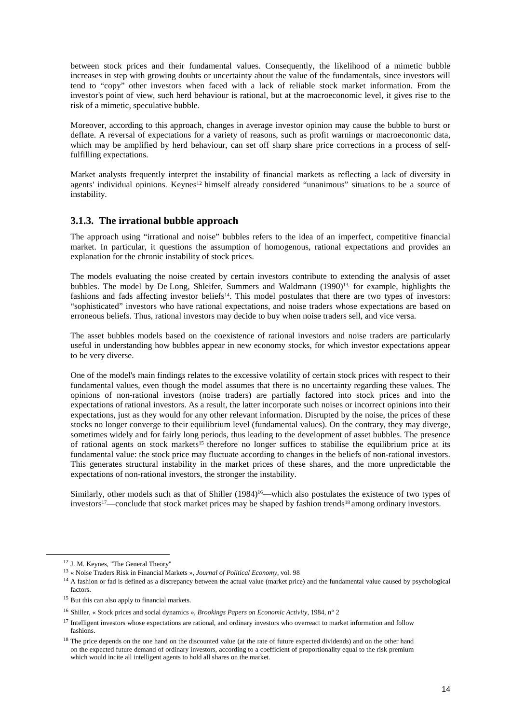between stock prices and their fundamental values. Consequently, the likelihood of a mimetic bubble increases in step with growing doubts or uncertainty about the value of the fundamentals, since investors will tend to "copy" other investors when faced with a lack of reliable stock market information. From the investor's point of view, such herd behaviour is rational, but at the macroeconomic level, it gives rise to the risk of a mimetic, speculative bubble.

Moreover, according to this approach, changes in average investor opinion may cause the bubble to burst or deflate. A reversal of expectations for a variety of reasons, such as profit warnings or macroeconomic data, which may be amplified by herd behaviour, can set off sharp share price corrections in a process of selffulfilling expectations.

Market analysts frequently interpret the instability of financial markets as reflecting a lack of diversity in agents' individual opinions. Keynes<sup>12</sup> himself already considered "unanimous" situations to be a source of instability.

### **3.1.3. The irrational bubble approach**

The approach using "irrational and noise" bubbles refers to the idea of an imperfect, competitive financial market. In particular, it questions the assumption of homogenous, rational expectations and provides an explanation for the chronic instability of stock prices.

The models evaluating the noise created by certain investors contribute to extending the analysis of asset bubbles. The model by De Long, Shleifer, Summers and Waldmann (1990)<sup>13,</sup> for example, highlights the fashions and fads affecting investor beliefs<sup>14</sup>. This model postulates that there are two types of investors: "sophisticated" investors who have rational expectations, and noise traders whose expectations are based on erroneous beliefs. Thus, rational investors may decide to buy when noise traders sell, and vice versa.

The asset bubbles models based on the coexistence of rational investors and noise traders are particularly useful in understanding how bubbles appear in new economy stocks, for which investor expectations appear to be very diverse.

One of the model's main findings relates to the excessive volatility of certain stock prices with respect to their fundamental values, even though the model assumes that there is no uncertainty regarding these values. The opinions of non-rational investors (noise traders) are partially factored into stock prices and into the expectations of rational investors. As a result, the latter incorporate such noises or incorrect opinions into their expectations, just as they would for any other relevant information. Disrupted by the noise, the prices of these stocks no longer converge to their equilibrium level (fundamental values). On the contrary, they may diverge, sometimes widely and for fairly long periods, thus leading to the development of asset bubbles. The presence of rational agents on stock markets<sup>15</sup> therefore no longer suffices to stabilise the equilibrium price at its fundamental value: the stock price may fluctuate according to changes in the beliefs of non-rational investors. This generates structural instability in the market prices of these shares, and the more unpredictable the expectations of non-rational investors, the stronger the instability.

Similarly, other models such as that of Shiller (1984)<sup>16</sup>—which also postulates the existence of two types of investors17—conclude that stock market prices may be shaped by fashion trends18 among ordinary investors.

 <sup>12</sup> J. M. Keynes, "The General Theory"

<sup>13</sup> « Noise Traders Risk in Financial Markets », *Journal of Political Economy*, vol. 98

<sup>&</sup>lt;sup>14</sup> A fashion or fad is defined as a discrepancy between the actual value (market price) and the fundamental value caused by psychological factors.

<sup>&</sup>lt;sup>15</sup> But this can also apply to financial markets.

<sup>16</sup> Shiller, « Stock prices and social dynamics », *Brookings Papers on Economic Activity*, 1984, n° 2

<sup>&</sup>lt;sup>17</sup> Intelligent investors whose expectations are rational, and ordinary investors who overreact to market information and follow fashions.

<sup>&</sup>lt;sup>18</sup> The price depends on the one hand on the discounted value (at the rate of future expected dividends) and on the other hand on the expected future demand of ordinary investors, according to a coefficient of proportionality equal to the risk premium which would incite all intelligent agents to hold all shares on the market.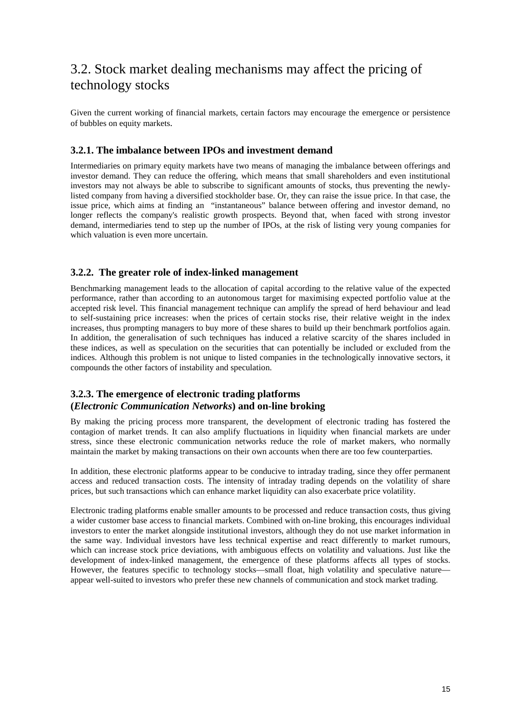## 3.2. Stock market dealing mechanisms may affect the pricing of technology stocks

Given the current working of financial markets, certain factors may encourage the emergence or persistence of bubbles on equity markets.

### **3.2.1. The imbalance between IPOs and investment demand**

Intermediaries on primary equity markets have two means of managing the imbalance between offerings and investor demand. They can reduce the offering, which means that small shareholders and even institutional investors may not always be able to subscribe to significant amounts of stocks, thus preventing the newlylisted company from having a diversified stockholder base. Or, they can raise the issue price. In that case, the issue price, which aims at finding an "instantaneous" balance between offering and investor demand, no longer reflects the company's realistic growth prospects. Beyond that, when faced with strong investor demand, intermediaries tend to step up the number of IPOs, at the risk of listing very young companies for which valuation is even more uncertain.

### **3.2.2. The greater role of index-linked management**

Benchmarking management leads to the allocation of capital according to the relative value of the expected performance, rather than according to an autonomous target for maximising expected portfolio value at the accepted risk level. This financial management technique can amplify the spread of herd behaviour and lead to self-sustaining price increases: when the prices of certain stocks rise, their relative weight in the index increases, thus prompting managers to buy more of these shares to build up their benchmark portfolios again. In addition, the generalisation of such techniques has induced a relative scarcity of the shares included in these indices, as well as speculation on the securities that can potentially be included or excluded from the indices. Although this problem is not unique to listed companies in the technologically innovative sectors, it compounds the other factors of instability and speculation.

### **3.2.3. The emergence of electronic trading platforms (***Electronic Communication Networks***) and on-line broking**

By making the pricing process more transparent, the development of electronic trading has fostered the contagion of market trends. It can also amplify fluctuations in liquidity when financial markets are under stress, since these electronic communication networks reduce the role of market makers, who normally maintain the market by making transactions on their own accounts when there are too few counterparties.

In addition, these electronic platforms appear to be conducive to intraday trading, since they offer permanent access and reduced transaction costs. The intensity of intraday trading depends on the volatility of share prices, but such transactions which can enhance market liquidity can also exacerbate price volatility.

Electronic trading platforms enable smaller amounts to be processed and reduce transaction costs, thus giving a wider customer base access to financial markets. Combined with on-line broking, this encourages individual investors to enter the market alongside institutional investors, although they do not use market information in the same way. Individual investors have less technical expertise and react differently to market rumours, which can increase stock price deviations, with ambiguous effects on volatility and valuations. Just like the development of index-linked management, the emergence of these platforms affects all types of stocks. However, the features specific to technology stocks—small float, high volatility and speculative nature appear well-suited to investors who prefer these new channels of communication and stock market trading.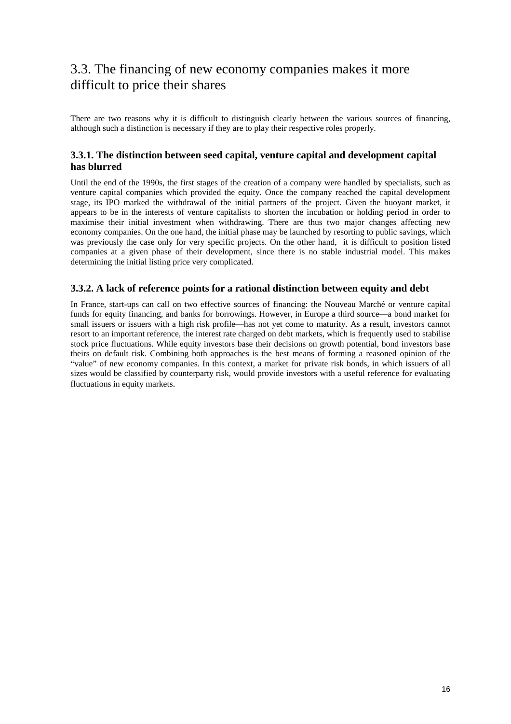## 3.3. The financing of new economy companies makes it more difficult to price their shares

There are two reasons why it is difficult to distinguish clearly between the various sources of financing, although such a distinction is necessary if they are to play their respective roles properly.

### **3.3.1. The distinction between seed capital, venture capital and development capital has blurred**

Until the end of the 1990s, the first stages of the creation of a company were handled by specialists, such as venture capital companies which provided the equity. Once the company reached the capital development stage, its IPO marked the withdrawal of the initial partners of the project. Given the buoyant market, it appears to be in the interests of venture capitalists to shorten the incubation or holding period in order to maximise their initial investment when withdrawing. There are thus two major changes affecting new economy companies. On the one hand, the initial phase may be launched by resorting to public savings, which was previously the case only for very specific projects. On the other hand, it is difficult to position listed companies at a given phase of their development, since there is no stable industrial model. This makes determining the initial listing price very complicated.

### **3.3.2. A lack of reference points for a rational distinction between equity and debt**

In France, start-ups can call on two effective sources of financing: the Nouveau Marché or venture capital funds for equity financing, and banks for borrowings. However, in Europe a third source—a bond market for small issuers or issuers with a high risk profile—has not yet come to maturity. As a result, investors cannot resort to an important reference, the interest rate charged on debt markets, which is frequently used to stabilise stock price fluctuations. While equity investors base their decisions on growth potential, bond investors base theirs on default risk. Combining both approaches is the best means of forming a reasoned opinion of the "value" of new economy companies. In this context, a market for private risk bonds, in which issuers of all sizes would be classified by counterparty risk, would provide investors with a useful reference for evaluating fluctuations in equity markets.